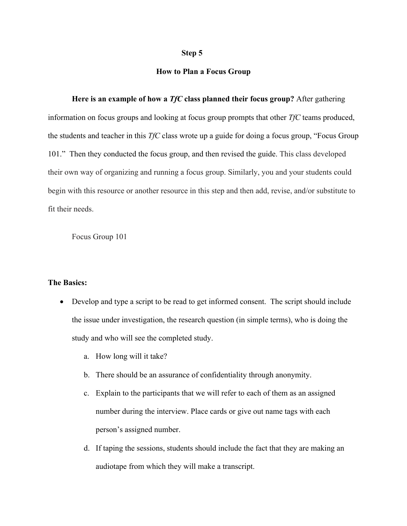## **Step 5**

## **How to Plan a Focus Group**

**Here is an example of how a** *TfC* **class planned their focus group?** After gathering information on focus groups and looking at focus group prompts that other *TfC* teams produced, the students and teacher in this *TfC* class wrote up a guide for doing a focus group, "Focus Group 101." Then they conducted the focus group, and then revised the guide. This class developed their own way of organizing and running a focus group. Similarly, you and your students could begin with this resource or another resource in this step and then add, revise, and/or substitute to fit their needs.

Focus Group 101

## **The Basics:**

- Develop and type a script to be read to get informed consent. The script should include the issue under investigation, the research question (in simple terms), who is doing the study and who will see the completed study.
	- a. How long will it take?
	- b. There should be an assurance of confidentiality through anonymity.
	- c. Explain to the participants that we will refer to each of them as an assigned number during the interview. Place cards or give out name tags with each person's assigned number.
	- d. If taping the sessions, students should include the fact that they are making an audiotape from which they will make a transcript.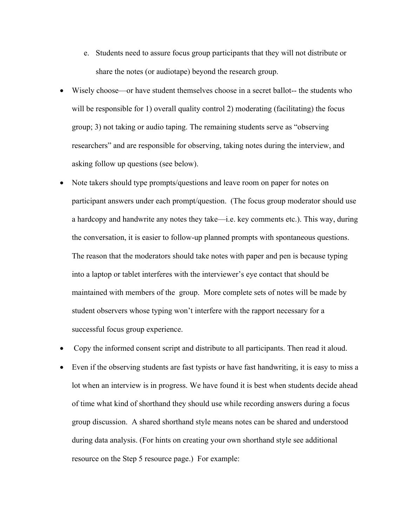- e. Students need to assure focus group participants that they will not distribute or share the notes (or audiotape) beyond the research group.
- Wisely choose—or have student themselves choose in a secret ballot-- the students who will be responsible for 1) overall quality control 2) moderating (facilitating) the focus group; 3) not taking or audio taping. The remaining students serve as "observing researchers" and are responsible for observing, taking notes during the interview, and asking follow up questions (see below).
- Note takers should type prompts/questions and leave room on paper for notes on participant answers under each prompt/question. (The focus group moderator should use a hardcopy and handwrite any notes they take—i.e. key comments etc.). This way, during the conversation, it is easier to follow-up planned prompts with spontaneous questions. The reason that the moderators should take notes with paper and pen is because typing into a laptop or tablet interferes with the interviewer's eye contact that should be maintained with members of the group. More complete sets of notes will be made by student observers whose typing won't interfere with the rapport necessary for a successful focus group experience.
- Copy the informed consent script and distribute to all participants. Then read it aloud.
- Even if the observing students are fast typists or have fast handwriting, it is easy to miss a lot when an interview is in progress. We have found it is best when students decide ahead of time what kind of shorthand they should use while recording answers during a focus group discussion. A shared shorthand style means notes can be shared and understood during data analysis. (For hints on creating your own shorthand style see additional resource on the Step 5 resource page.) For example: